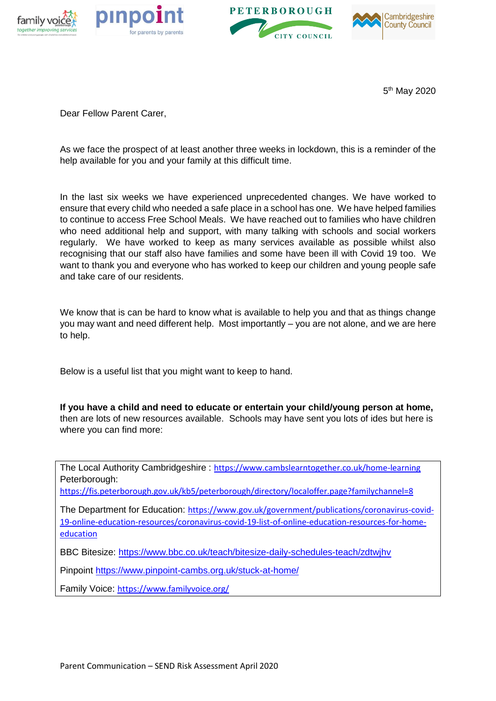







5 th May 2020

Dear Fellow Parent Carer,

As we face the prospect of at least another three weeks in lockdown, this is a reminder of the help available for you and your family at this difficult time.

In the last six weeks we have experienced unprecedented changes. We have worked to ensure that every child who needed a safe place in a school has one. We have helped families to continue to access Free School Meals. We have reached out to families who have children who need additional help and support, with many talking with schools and social workers regularly. We have worked to keep as many services available as possible whilst also recognising that our staff also have families and some have been ill with Covid 19 too. We want to thank you and everyone who has worked to keep our children and young people safe and take care of our residents.

We know that is can be hard to know what is available to help you and that as things change you may want and need different help. Most importantly – you are not alone, and we are here to help.

Below is a useful list that you might want to keep to hand.

**If you have a child and need to educate or entertain your child/young person at home,** then are lots of new resources available. Schools may have sent you lots of ides but here is where you can find more:

The Local Authority Cambridgeshire : <https://www.cambslearntogether.co.uk/home-learning> Peterborough:

<https://fis.peterborough.gov.uk/kb5/peterborough/directory/localoffer.page?familychannel=8>

The Department for Education: [https://www.gov.uk/government/publications/coronavirus-covid-](https://www.gov.uk/government/publications/coronavirus-covid-19-online-education-resources/coronavirus-covid-19-list-of-online-education-resources-for-home-education)[19-online-education-resources/coronavirus-covid-19-list-of-online-education-resources-for-home](https://www.gov.uk/government/publications/coronavirus-covid-19-online-education-resources/coronavirus-covid-19-list-of-online-education-resources-for-home-education)[education](https://www.gov.uk/government/publications/coronavirus-covid-19-online-education-resources/coronavirus-covid-19-list-of-online-education-resources-for-home-education)

BBC Bitesize:<https://www.bbc.co.uk/teach/bitesize-daily-schedules-teach/zdtwjhv>

Pinpoint<https://www.pinpoint-cambs.org.uk/stuck-at-home/>

Family Voice: <https://www.familyvoice.org/>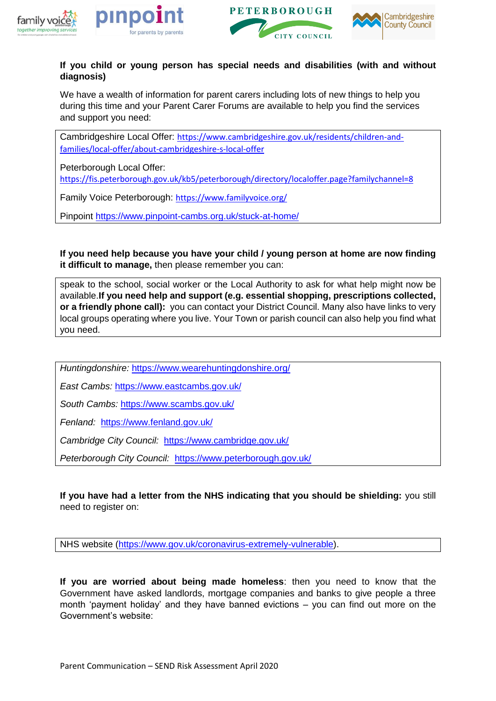







## **If you child or young person has special needs and disabilities (with and without diagnosis)**

We have a wealth of information for parent carers including lots of new things to help you during this time and your Parent Carer Forums are available to help you find the services and support you need:

Cambridgeshire Local Offer: [https://www.cambridgeshire.gov.uk/residents/children-and](https://www.cambridgeshire.gov.uk/residents/children-and-families/local-offer/about-cambridgeshire-s-local-offer)[families/local-offer/about-cambridgeshire-s-local-offer](https://www.cambridgeshire.gov.uk/residents/children-and-families/local-offer/about-cambridgeshire-s-local-offer)

Peterborough Local Offer:

<https://fis.peterborough.gov.uk/kb5/peterborough/directory/localoffer.page?familychannel=8>

Family Voice Peterborough: <https://www.familyvoice.org/>

Pinpoint<https://www.pinpoint-cambs.org.uk/stuck-at-home/>

**If you need help because you have your child / young person at home are now finding it difficult to manage,** then please remember you can:

speak to the school, social worker or the Local Authority to ask for what help might now be available.**If you need help and support (e.g. essential shopping, prescriptions collected, or a friendly phone call):** you can contact your District Council. Many also have links to very local groups operating where you live. Your Town or parish council can also help you find what you need.

*Huntingdonshire:* <https://www.wearehuntingdonshire.org/>

*East Cambs:* <https://www.eastcambs.gov.uk/>

*South Cambs:* <https://www.scambs.gov.uk/>

*Fenland:* <https://www.fenland.gov.uk/>

*Cambridge City Council:* <https://www.cambridge.gov.uk/>

Peterborough City Council: <https://www.peterborough.gov.uk/>

**If you have had a letter from the NHS indicating that you should be shielding:** you still need to register on:

NHS website [\(https://www.gov.uk/coronavirus-extremely-vulnerable\)](https://www.gov.uk/coronavirus-extremely-vulnerable).

**If you are worried about being made homeless**: then you need to know that the Government have asked landlords, mortgage companies and banks to give people a three month 'payment holiday' and they have banned evictions – you can find out more on the Government's website: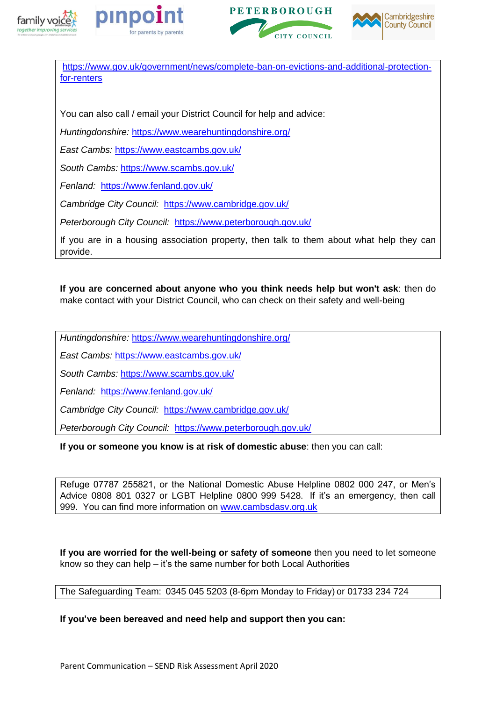







[https://www.gov.uk/government/news/complete-ban-on-evictions-and-additional-protection](https://www.gov.uk/government/news/complete-ban-on-evictions-and-additional-protection-for-renters)[for-renters](https://www.gov.uk/government/news/complete-ban-on-evictions-and-additional-protection-for-renters)

You can also call / email your District Council for help and advice:

*Huntingdonshire:* <https://www.wearehuntingdonshire.org/>

*East Cambs:* <https://www.eastcambs.gov.uk/>

*South Cambs:* <https://www.scambs.gov.uk/>

*Fenland:* <https://www.fenland.gov.uk/>

*Cambridge City Council:* <https://www.cambridge.gov.uk/>

*Peterborough City Council:* <https://www.peterborough.gov.uk/>

If you are in a housing association property, then talk to them about what help they can provide.

**If you are concerned about anyone who you think needs help but won't ask**: then do make contact with your District Council, who can check on their safety and well-being

*Huntingdonshire:* <https://www.wearehuntingdonshire.org/>

*East Cambs:* <https://www.eastcambs.gov.uk/>

*South Cambs:* <https://www.scambs.gov.uk/>

*Fenland:* <https://www.fenland.gov.uk/>

*Cambridge City Council:* <https://www.cambridge.gov.uk/>

*Peterborough City Council:* <https://www.peterborough.gov.uk/>

**If you or someone you know is at risk of domestic abuse**: then you can call:

Refuge 07787 255821, or the National Domestic Abuse Helpline 0802 000 247, or Men's Advice 0808 801 0327 or LGBT Helpline 0800 999 5428. If it's an emergency, then call 999. You can find more information on [www.cambsdasv.org.uk](http://www.cambsdasv.org.uk/)

**If you are worried for the well-being or safety of someone** then you need to let someone know so they can help – it's the same number for both Local Authorities

The Safeguarding Team: 0345 045 5203 (8-6pm Monday to Friday) or 01733 234 724

**If you've been bereaved and need help and support then you can:**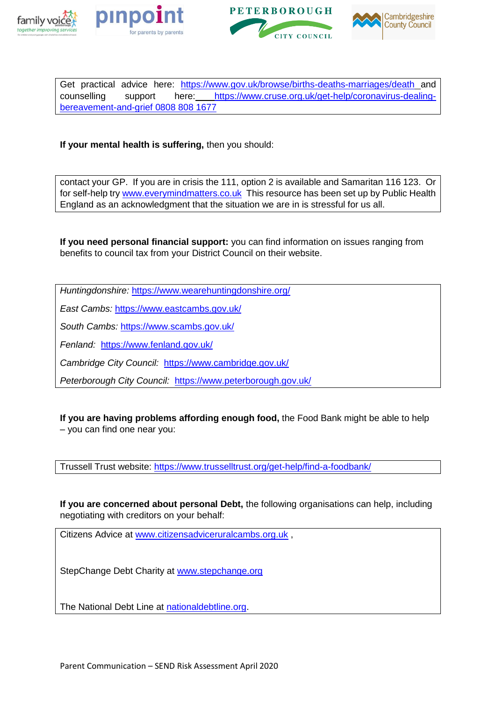







Get practical advice here: <https://www.gov.uk/browse/births-deaths-marriages/death>\_and counselling support here: [https://www.cruse.org.uk/get-help/coronavirus-dealing](https://www.cruse.org.uk/get-help/coronavirus-dealing-bereavement-and-grief%200808%20808%201677)[bereavement-and-grief 0808 808 1677](https://www.cruse.org.uk/get-help/coronavirus-dealing-bereavement-and-grief%200808%20808%201677)

**If your mental health is suffering,** then you should:

contact your GP. If you are in crisis the 111, option 2 is available and Samaritan 116 123. Or for self-help tr[y www.everymindmatters.co.uk](http://www.everymindmatters.co.uk/) This resource has been set up by Public Health England as an acknowledgment that the situation we are in is stressful for us all.

**If you need personal financial support:** you can find information on issues ranging from benefits to council tax from your District Council on their website.

*Huntingdonshire:* <https://www.wearehuntingdonshire.org/>

*East Cambs:* <https://www.eastcambs.gov.uk/>

*South Cambs:* <https://www.scambs.gov.uk/>

*Fenland:* <https://www.fenland.gov.uk/>

*Cambridge City Council:* <https://www.cambridge.gov.uk/>

*Peterborough City Council:* <https://www.peterborough.gov.uk/>

**If you are having problems affording enough food,** the Food Bank might be able to help – you can find one near you:

Trussell Trust website:<https://www.trusselltrust.org/get-help/find-a-foodbank/>

**If you are concerned about personal Debt,** the following organisations can help, including negotiating with creditors on your behalf:

Citizens Advice at [www.citizensadviceruralcambs.org.uk](http://www.citizensadviceruralcambs.org.uk/) ,

StepChange Debt Charity at [www.stepchange.org](http://www.stepchange.org/)

The National Debt Line at [nationaldebtline.org.](http://nationaldebtline.org/)